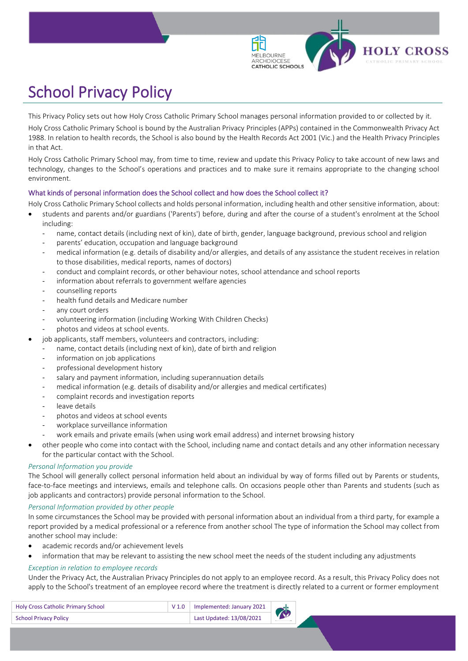

# School Privacy Policy

This Privacy Policy sets out how Holy Cross Catholic Primary School manages personal information provided to or collected by it.

Holy Cross Catholic Primary School is bound by the Australian Privacy Principles (APPs) contained in the Commonwealth Privacy Act 1988. In relation to health records, the School is also bound by the Health Records Act 2001 (Vic.) and the Health Privacy Principles in that Act.

Holy Cross Catholic Primary School may, from time to time, review and update this Privacy Policy to take account of new laws and technology, changes to the School's operations and practices and to make sure it remains appropriate to the changing school environment.

# What kinds of personal information does the School collect and how does the School collect it?

Holy Cross Catholic Primary School collects and holds personal information, including health and other sensitive information, about:

- students and parents and/or guardians ('Parents') before, during and after the course of a student's enrolment at the School including:
	- ‐ name, contact details (including next of kin), date of birth, gender, language background, previous school and religion
	- ‐ parents' education, occupation and language background
	- medical information (e.g. details of disability and/or allergies, and details of any assistance the student receives in relation to those disabilities, medical reports, names of doctors)
	- ‐ conduct and complaint records, or other behaviour notes, school attendance and school reports
	- information about referrals to government welfare agencies
	- ‐ counselling reports
	- health fund details and Medicare number
	- any court orders
	- ‐ volunteering information (including Working With Children Checks)
	- ‐ photos and videos at school events.
- job applicants, staff members, volunteers and contractors, including:
	- name, contact details (including next of kin), date of birth and religion
	- information on job applications
	- ‐ professional development history
	- salary and payment information, including superannuation details
	- medical information (e.g. details of disability and/or allergies and medical certificates)
	- ‐ complaint records and investigation reports
	- ‐ leave details
	- ‐ photos and videos at school events
	- workplace surveillance information
	- work emails and private emails (when using work email address) and internet browsing history
- other people who come into contact with the School, including name and contact details and any other information necessary for the particular contact with the School.

# *Personal Information you provide*

The School will generally collect personal information held about an individual by way of forms filled out by Parents or students, face-to-face meetings and interviews, emails and telephone calls. On occasions people other than Parents and students (such as job applicants and contractors) provide personal information to the School.

# *Personal Information provided by other people*

In some circumstances the School may be provided with personal information about an individual from a third party, for example a report provided by a medical professional or a reference from another school The type of information the School may collect from another school may include:

- academic records and/or achievement levels
- information that may be relevant to assisting the new school meet the needs of the student including any adjustments

# *Exception in relation to employee records*

Under the Privacy Act, the Australian Privacy Principles do not apply to an employee record. As a result, this Privacy Policy does not apply to the School's treatment of an employee record where the treatment is directly related to a current or former employment

| <b>Holy Cross Catholic Primary School</b> | $\vert$ V 1.0   Implemented: January 2021 |  |
|-------------------------------------------|-------------------------------------------|--|
| <b>School Privacy Policy</b>              | Last Updated: 13/08/2021                  |  |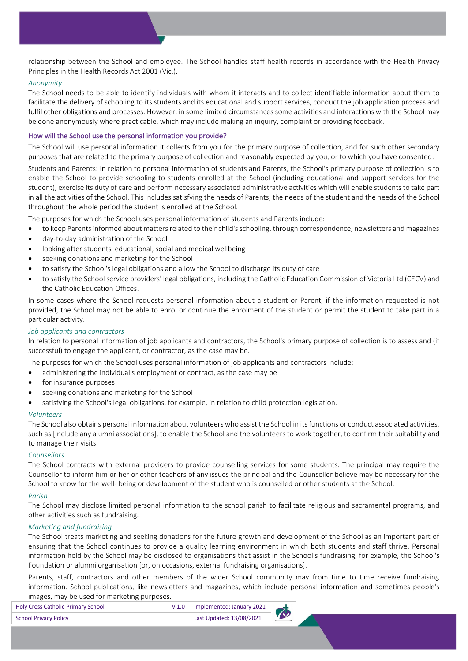relationship between the School and employee. The School handles staff health records in accordance with the Health Privacy Principles in the Health Records Act 2001 (Vic.).

## *Anonymity*

The School needs to be able to identify individuals with whom it interacts and to collect identifiable information about them to facilitate the delivery of schooling to its students and its educational and support services, conduct the job application process and fulfil other obligations and processes. However, in some limited circumstances some activities and interactions with the School may be done anonymously where practicable, which may include making an inquiry, complaint or providing feedback.

# How will the School use the personal information you provide?

The School will use personal information it collects from you for the primary purpose of collection, and for such other secondary purposes that are related to the primary purpose of collection and reasonably expected by you, or to which you have consented.

Students and Parents: In relation to personal information of students and Parents, the School's primary purpose of collection is to enable the School to provide schooling to students enrolled at the School (including educational and support services for the student), exercise its duty of care and perform necessary associated administrative activities which will enable students to take part in all the activities of the School. This includes satisfying the needs of Parents, the needs of the student and the needs of the School throughout the whole period the student is enrolled at the School.

The purposes for which the School uses personal information of students and Parents include:

- to keep Parents informed about matters related to their child's schooling, through correspondence, newsletters and magazines
- day-to-day administration of the School
- looking after students' educational, social and medical wellbeing
- seeking donations and marketing for the School
- to satisfy the School's legal obligations and allow the School to discharge its duty of care
- to satisfy the School service providers' legal obligations, including the Catholic Education Commission of Victoria Ltd (CECV) and the Catholic Education Offices.

In some cases where the School requests personal information about a student or Parent, if the information requested is not provided, the School may not be able to enrol or continue the enrolment of the student or permit the student to take part in a particular activity.

## *Job applicants and contractors*

In relation to personal information of job applicants and contractors, the School's primary purpose of collection is to assess and (if successful) to engage the applicant, or contractor, as the case may be.

The purposes for which the School uses personal information of job applicants and contractors include:

- administering the individual's employment or contract, as the case may be
- for insurance purposes
- seeking donations and marketing for the School
- satisfying the School's legal obligations, for example, in relation to child protection legislation.

#### *Volunteers*

The School also obtains personal information about volunteers who assist the School in its functions or conduct associated activities, such as [include any alumni associations], to enable the School and the volunteers to work together, to confirm their suitability and to manage their visits.

#### *Counsellors*

The School contracts with external providers to provide counselling services for some students. The principal may require the Counsellor to inform him or her or other teachers of any issues the principal and the Counsellor believe may be necessary for the School to know for the well- being or development of the student who is counselled or other students at the School.

#### *Parish*

The School may disclose limited personal information to the school parish to facilitate religious and sacramental programs, and other activities such as fundraising.

#### *Marketing and fundraising*

The School treats marketing and seeking donations for the future growth and development of the School as an important part of ensuring that the School continues to provide a quality learning environment in which both students and staff thrive. Personal information held by the School may be disclosed to organisations that assist in the School's fundraising, for example, the School's Foundation or alumni organisation [or, on occasions, external fundraising organisations].

Parents, staff, contractors and other members of the wider School community may from time to time receive fundraising information. School publications, like newsletters and magazines, which include personal information and sometimes people's images, may be used for marketing purposes.

| <b>Holy Cross Catholic Primary School</b> | $\vert$ V 1.0   Implemented: January 2021 | $\overline{\Lambda}$ |
|-------------------------------------------|-------------------------------------------|----------------------|
| <b>School Privacy Policy</b>              | Last Updated: 13/08/2021                  |                      |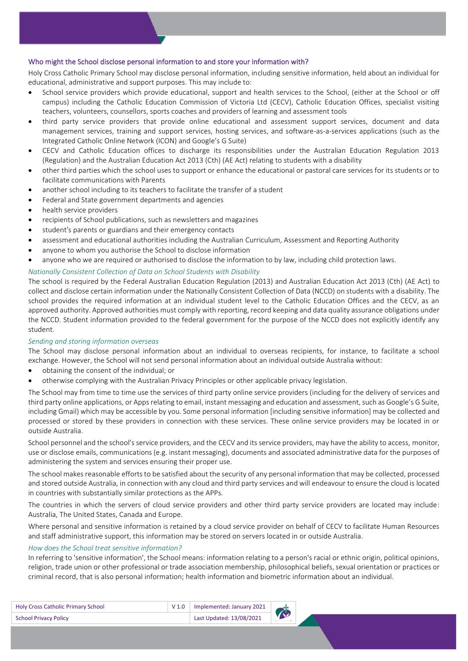# Who might the School disclose personal information to and store your information with?

Holy Cross Catholic Primary School may disclose personal information, including sensitive information, held about an individual for educational, administrative and support purposes. This may include to:

- School service providers which provide educational, support and health services to the School, (either at the School or off campus) including the Catholic Education Commission of Victoria Ltd (CECV), Catholic Education Offices, specialist visiting teachers, volunteers, counsellors, sports coaches and providers of learning and assessment tools
- third party service providers that provide online educational and assessment support services, document and data management services, training and support services, hosting services, and software-as-a-services applications (such as the Integrated Catholic Online Network (ICON) and Google's G Suite)
- CECV and Catholic Education offices to discharge its responsibilities under the Australian Education Regulation 2013 (Regulation) and the Australian Education Act 2013 (Cth) (AE Act) relating to students with a disability
- other third parties which the school uses to support or enhance the educational or pastoral care services for its students or to facilitate communications with Parents
- another school including to its teachers to facilitate the transfer of a student
- Federal and State government departments and agencies
- health service providers
- recipients of School publications, such as newsletters and magazines
- student's parents or guardians and their emergency contacts
- assessment and educational authorities including the Australian Curriculum, Assessment and Reporting Authority
- anyone to whom you authorise the School to disclose information
- anyone who we are required or authorised to disclose the information to by law, including child protection laws.

# *Nationally Consistent Collection of Data on School Students with Disability*

The school is required by the Federal Australian Education Regulation (2013) and Australian Education Act 2013 (Cth) (AE Act) to collect and disclose certain information under the Nationally Consistent Collection of Data (NCCD) on students with a disability. The school provides the required information at an individual student level to the Catholic Education Offices and the CECV, as an approved authority. Approved authorities must comply with reporting, record keeping and data quality assurance obligations under the NCCD. Student information provided to the federal government for the purpose of the NCCD does not explicitly identify any student.

# *Sending and storing information overseas*

The School may disclose personal information about an individual to overseas recipients, for instance, to facilitate a school exchange. However, the School will not send personal information about an individual outside Australia without:

- obtaining the consent of the individual; or
- otherwise complying with the Australian Privacy Principles or other applicable privacy legislation.

The School may from time to time use the services of third party online service providers (including for the delivery of services and third party online applications, or Apps relating to email, instant messaging and education and assessment, such as Google's G Suite, including Gmail) which may be accessible by you. Some personal information [including sensitive information] may be collected and processed or stored by these providers in connection with these services. These online service providers may be located in or outside Australia.

School personnel and the school's service providers, and the CECV and its service providers, may have the ability to access, monitor, use or disclose emails, communications (e.g. instant messaging), documents and associated administrative data for the purposes of administering the system and services ensuring their proper use.

The school makes reasonable efforts to be satisfied about the security of any personal information that may be collected, processed and stored outside Australia, in connection with any cloud and third party services and will endeavour to ensure the cloud is located in countries with substantially similar protections as the APPs.

The countries in which the servers of cloud service providers and other third party service providers are located may include: Australia, The United States, Canada and Europe.

Where personal and sensitive information is retained by a cloud service provider on behalf of CECV to facilitate Human Resources and staff administrative support, this information may be stored on servers located in or outside Australia.

# *How does the School treat sensitive information?*

In referring to 'sensitive information', the School means: information relating to a person's racial or ethnic origin, political opinions, religion, trade union or other professional or trade association membership, philosophical beliefs, sexual orientation or practices or criminal record, that is also personal information; health information and biometric information about an individual.

| <b>Holy Cross Catholic Primary School</b> | $\begin{array}{ l l }\n\hline\n\end{array}$ V 1.0 Implemented: January 2021 |  |
|-------------------------------------------|-----------------------------------------------------------------------------|--|
| <b>School Privacy Policy</b>              | Last Updated: 13/08/2021                                                    |  |